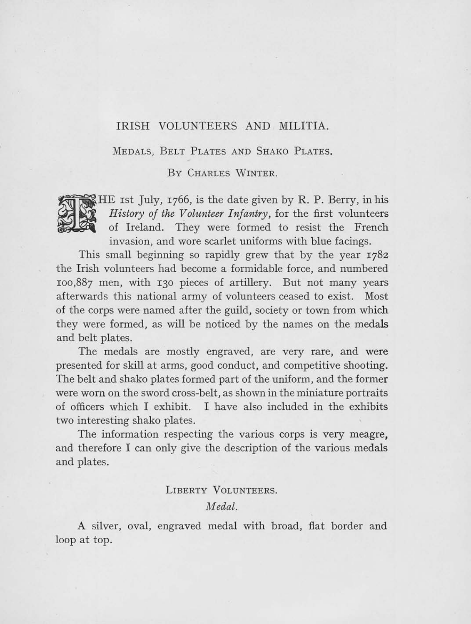### IRISH VOLUNTEERS AND MILITIA.

MEDALS, BELT PLATES AND SHAKO PLATES.

By CHARLES WINTER.



HE 1st July, 1766, is the date given by R. P. Berry, in his History of the Volunteer Infantry, for the first volunteers of Ireland. They were formed to resist the French invasion and wore scarlet uniforms with blue facings *History of the Volunteer Infantry,* for the first volunteers of Ireland. They were formed to resist the French invasion, and wore scarlet uniforms with blue facings.

This small beginning so rapidly grew that by the year 1782 the Irish volunteers had become a formidable force, and numbered IOo,887 men, with 130 pieces of artillery. But not many years afterwards this national army of volunteers ceased to exist. Most of the corps were named after the guild, society or town from which they were formed, as will be noticed by the names on the medals and belt plates.

The medals are mostly engraved, are very rare, and were presented for skill at arms, good conduct, and competitive shooting. The belt and shako plates formed part of the uniform, and the former were worn on the sword cross-belt, as shown in the miniature portraits of officers which I exhibit. I have also included in the exhibits two interesting shako plates.

The information respecting the various corps is very meagre, and therefore I can only give the description of the various medals and plates.

### LIBERTY VOLUNTEERS.

*A1edal.* 

A silver, oval, engraved medal with broad, flat border and loop at top.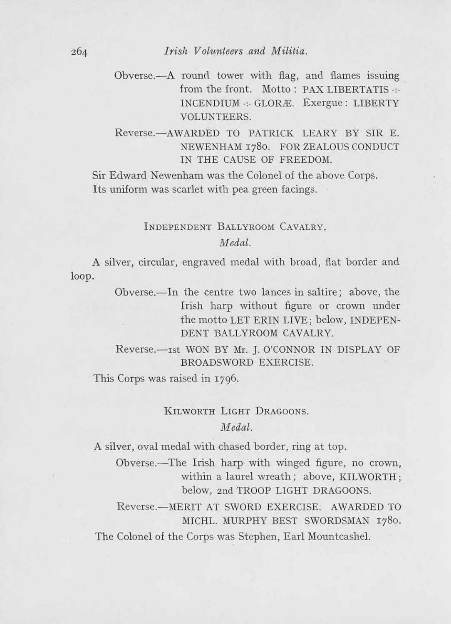Obverse.-A round. tower with flag, and flames issuing from the front. Motto: PAX LIBERTATIS -:-INCENDIUM ·: GLORÆ. Exergue: LIBERTY VOLUNTEERS.

Reverse.- AWARDED TO PATRICK LEARY BY SIR E. NEWENHAM 1780. FOR ZEALOUS CONDUCT IN THE CAUSE OF FREEDOM.

Sir Edward Newenham was the Colonel of the above Corps. Its uniform was scarlet with pea green facings.

## INDEPENDENT BALLYROOM CAVALRY.

### *1\;fedal.*

A silver, circular, engraved medal with broad, flat border and loop.

> Obverse.—In the centre two lances in saltire; above, the Irish harp without figure or crown under the motto LET ERIN LIVE; below, INDEPEN-DENT BALLYROOM CAVALRY.

> Reverse.-- Ist WON BY Mr. J. O'CONNOR IN DISPLAY OF BROADSWORD EXERCISE.

This Corps was raised in 1796.

KILWORTH LIGHT DRAGOONS.

*Medal.* 

A silver, oval medal with chased border, ring at top.

Obverse.—The Irish harp with winged figure, no crown, within a laurel wreath; above, KILWORTH; below, 2nd TROOP LIGHT DRAGOONS.

Reverse.-MERIT AT SWORD EXERCISE. AWARDED TO MICHL. MURPHY BEST SWORDSMAN 1780.

The Colonel of the Corps was Stephen, Earl Mountcashel.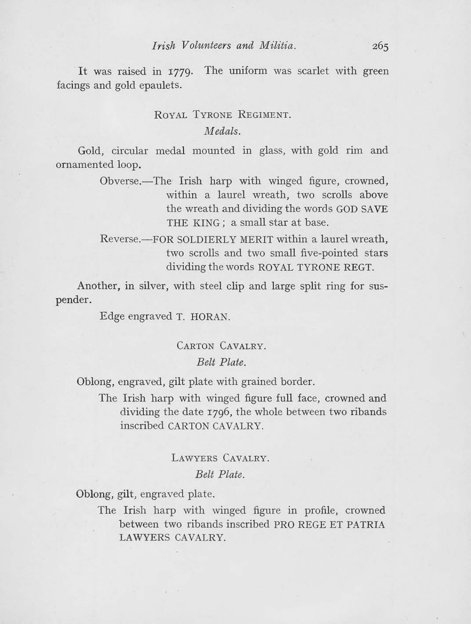. It was raised in 1779. The uniform was scarlet with green facings and gold epaulets.

### ROYAL TYRONE REGIMENT.

*lviedals.* 

Gold, circular medal mounted in glass, with gold rim and ornamented loop.

> Obverse.—The Irish harp with winged figure, crowned, within a laurel wreath, two scrolls above the wreath and dividing the words GOD SAVE THE KING; a small star at base.

> Reverse.—FOR SOLDIERLY MERIT within a laurel wreath, two scrolls and two small five-pointed stars dividing the words ROYAL TYRONE REGT.

Another, **in** silver, with steel clip and large split ring for suspender.

Edge engraved T. HORAN.

## CARTON CAVALRY. *Belt Plate.*

Oblong, engraved, gilt plate with grained border.

The Irish harp with winged figure full face, crowned and dividing the date 1796, the whole between two ribands inscribed CARTON CAVALRY.

## LAWYERS CAVALRY. *Belt Plate.*

Oblong, gilt, engraved plate.

The Irish harp with winged figure in profile, crowned between two ribands inscribed PRO REGE ET PATRIA LA WYERS CAVALRY.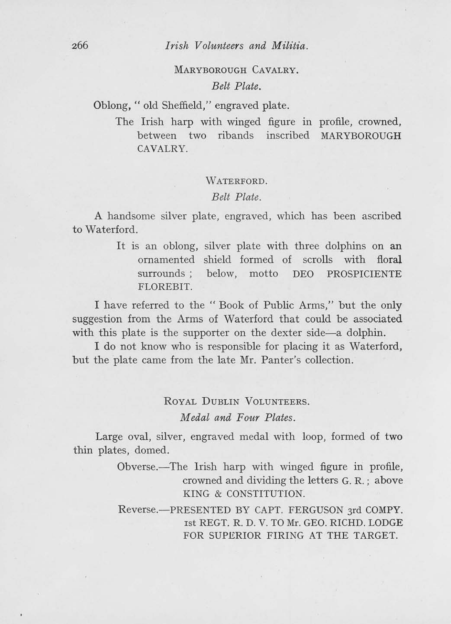# MARYBOROUGH CAVALRY.

## *Belt Plate.*

Oblong, " old Sheffield," engraved plate.

The Irish harp with winged figure in profile, crowned, between two ribands inscribed MARYBOROUGH CAVALRY.

### WATERFORD.

### *Belt Plate.*

A handsome silver plate, engraved, which has been ascribed to Waterford.

> It is an oblong, silver plate with three dolphins on an ornamented shield formed of scrolls with floral surrounds; below, motto DEO PROSPICIENTE FLOREBIT.

I have referred to the" Book of Public Arms," but the only suggestion from the Arms of Waterford that could be associated with this plate is the supporter on the dexter side-a dolphin.

I do not know who is responsible for placing it as Waterford, but the plate came from the late Mr. Panter's collection.

# ROYAL DUBLIN VOLUNTEERS.

*Medal and Four Plates.* 

Large oval, silver, engraved medal with loop, formed of two thin plates, domed.

> Obverse.—The Irish harp with winged figure in profile, crowned and dividing the letters G. R.; above KING & CONSTITUTION.

> Reverse.-PRESENTED BY CAPT. FERGUSON 3rd COMPY. 1st REGT. R. D. V. TO Mr. GEO. RICHD. LODGE FOR SUPERIOR FIRING AT THE TARGET.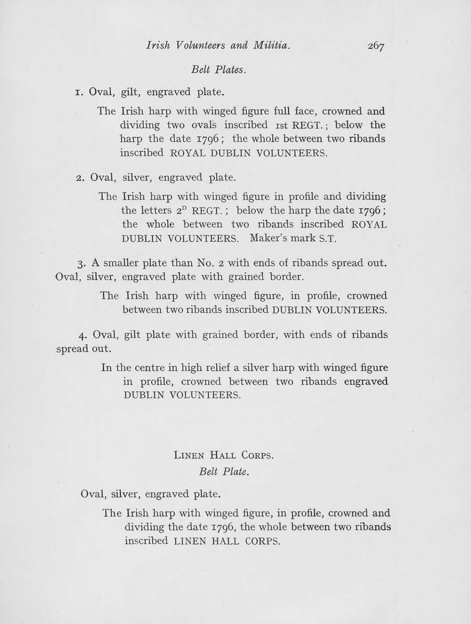### *Belt Plates.*

- r. Oval, gilt, engraved plate.
	- The Irish harp with winged figure full face, crowned and dividing two ovals inscribed 1st REGT.; below the harp the date 1796; the whole between two ribands inscribed ROYAL DUBLIN VOLUNTEERS.
- 2. Oval, silver, engraved plate.
	- The Irish harp with winged figure in profile and dividing the letters  $2^D$  REGT.; below the harp the date 1796; the whole between two ribands inscribed ROYAL DUBLIN VOLUNTEERS. Maker's mark S.T.

3. A smaller plate than No. 2 with ends of ribands spread out. Oval, silver, engraved plate with grained border.

> The Irish harp with winged figure, in profile, crowned between two ribands inscribed DUBLIN VOLUNTEERS.

4. Oval, gilt plate with grained border, with ends of ribands spread out.

> In the centre in high relief a silver harp with winged figure in profile, crowned between two ribands engraved DUBLIN VOLUNTEERS.

# LINEN HALL CORPS. *Belt Plate.*

Oval, silver, engraved plate.

The Irish harp with winged figure, in profile, crowned and dividing the date 1796, the whole between two ribands inscribed LINEN HALL CORPS.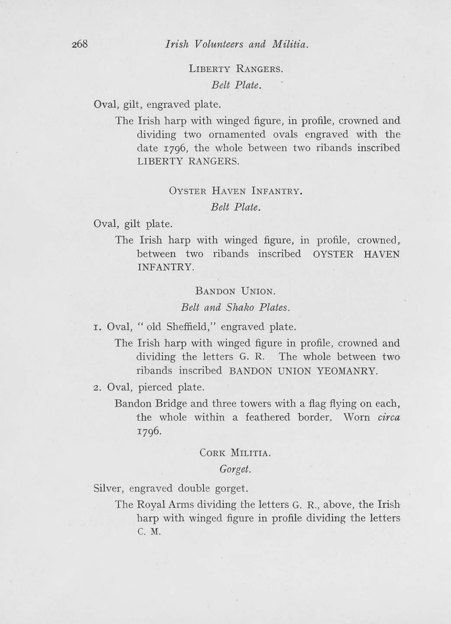## LIBERTY RANGERS. *Belt Plate.*

Oval, gilt, engraved plate.

The Irish harp with winged figure, in profile, crowned and dividing two ornamented ovals engraved with the date I796, the whole between two ribands inscribed LIBERTY RANGERS.

### OYSTER HAVEN INFANTRY.

#### *Belt Plate.*

Oval, gilt plate.

The Irish harp with winged figure, in profile, crowned,. between two ribands inscribed OYSTER HAVEN INFANTRY.

### BANDON UNION.

*Belt and Shako Plates.* 

r. Oval, " old Sheffield," engraved plate.

- The Irish harp with winged figure in profile, crowned and dividing the letters G. R. The whole between two ribands inscribed BANDON UNION YEOMANRY.
- 2. Oval, pierced plate.
	- Bandon Bridge and three towers with a flag flying on each, the whole within a feathered border. Worn *circa*  1796.

### CORK MILITIA.

#### *Gorget.*

Silver, engraved double gorget.

The Royal Arms dividing the letters G. R., above, the Irish harp with winged figure in profile dividing the letters C. M.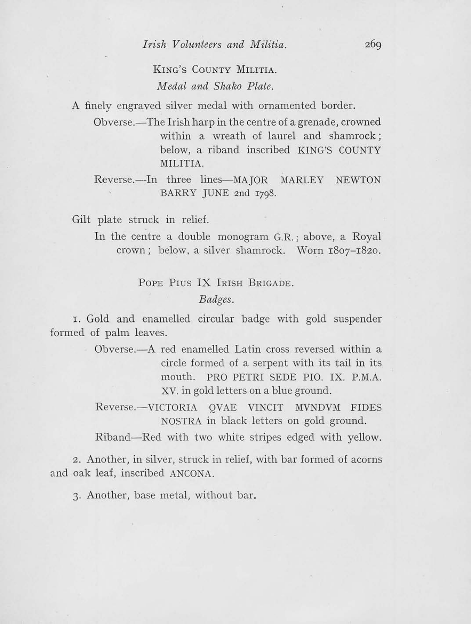# KING's COUNTY MILITIA. *Medal and Shako Plate.*

A finely engraved silver medal with ornamented border.

Obverse.-The Irish harp in the centre of a grenade, crowned within a wreath of laurel and shamrock; below, a riband inscribed KING'S COUNTY MILITIA.

Reverse.--In three lines-MAJOR MARLEY NEWTON BARRY JUNE 2nd 1798.

Gilt plate struck in relief.

In the centre a double monogram G.R.; above, a Royal crown; below, a silver shamrock. Worn 1807-1820.

POPE PIUS IX IRISH BRIGADE.

*Badges.* 

1. Gold and enamelled circular badge with gold suspender formed of palm leaves.

> Obverse.-A red enamelled Latin cross reversed within a circle formed of a serpent with its tail in its mouth. PRO PETRI SEDE PIO. IX. P.M.A. XV. in gold letters on a blue ground.

> Reverse.-VICTORIA QVAE VINCIT MVNDVM FIDES NOSTRA in black letters on gold ground.

> Riband-Red with two white stripes edged with yellow.

2. Another, in silver, struck in relief, with bar formed of acorns and oak leaf, inscribed ANCONA.

3. Another, base metal, without bar.